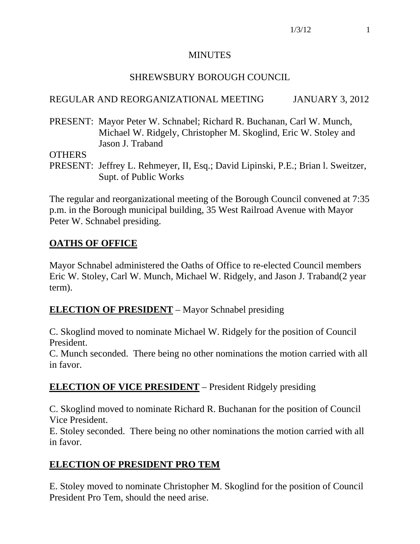#### MINUTES

### SHREWSBURY BOROUGH COUNCIL

### REGULAR AND REORGANIZATIONAL MEETING JANUARY 3, 2012

PRESENT: Mayor Peter W. Schnabel; Richard R. Buchanan, Carl W. Munch, Michael W. Ridgely, Christopher M. Skoglind, Eric W. Stoley and Jason J. Traband

**OTHERS** 

PRESENT: Jeffrey L. Rehmeyer, II, Esq.; David Lipinski, P.E.; Brian l. Sweitzer, Supt. of Public Works

The regular and reorganizational meeting of the Borough Council convened at 7:35 p.m. in the Borough municipal building, 35 West Railroad Avenue with Mayor Peter W. Schnabel presiding.

# **OATHS OF OFFICE**

Mayor Schnabel administered the Oaths of Office to re-elected Council members Eric W. Stoley, Carl W. Munch, Michael W. Ridgely, and Jason J. Traband(2 year term).

## **ELECTION OF PRESIDENT** – Mayor Schnabel presiding

C. Skoglind moved to nominate Michael W. Ridgely for the position of Council President.

C. Munch seconded. There being no other nominations the motion carried with all in favor.

## **ELECTION OF VICE PRESIDENT** – President Ridgely presiding

C. Skoglind moved to nominate Richard R. Buchanan for the position of Council Vice President.

E. Stoley seconded. There being no other nominations the motion carried with all in favor.

## **ELECTION OF PRESIDENT PRO TEM**

E. Stoley moved to nominate Christopher M. Skoglind for the position of Council President Pro Tem, should the need arise.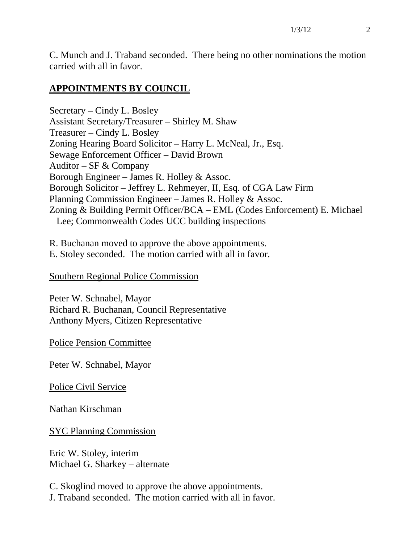C. Munch and J. Traband seconded. There being no other nominations the motion carried with all in favor.

#### **APPOINTMENTS BY COUNCIL**

Secretary – Cindy L. Bosley Assistant Secretary/Treasurer – Shirley M. Shaw Treasurer – Cindy L. Bosley Zoning Hearing Board Solicitor – Harry L. McNeal, Jr., Esq. Sewage Enforcement Officer – David Brown Auditor – SF  $&$  Company Borough Engineer – James R. Holley & Assoc. Borough Solicitor – Jeffrey L. Rehmeyer, II, Esq. of CGA Law Firm Planning Commission Engineer – James R. Holley & Assoc. Zoning & Building Permit Officer/BCA – EML (Codes Enforcement) E. Michael Lee; Commonwealth Codes UCC building inspections

R. Buchanan moved to approve the above appointments. E. Stoley seconded. The motion carried with all in favor.

Southern Regional Police Commission

Peter W. Schnabel, Mayor Richard R. Buchanan, Council Representative Anthony Myers, Citizen Representative

Police Pension Committee

Peter W. Schnabel, Mayor

Police Civil Service

Nathan Kirschman

SYC Planning Commission

Eric W. Stoley, interim Michael G. Sharkey – alternate

C. Skoglind moved to approve the above appointments. J. Traband seconded. The motion carried with all in favor.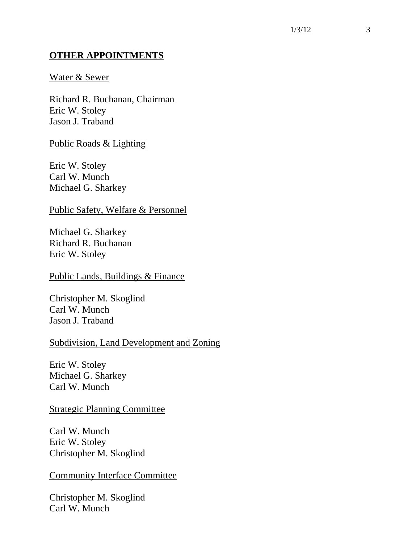#### **OTHER APPOINTMENTS**

#### Water & Sewer

Richard R. Buchanan, Chairman Eric W. Stoley Jason J. Traband

Public Roads & Lighting

Eric W. Stoley Carl W. Munch Michael G. Sharkey

#### Public Safety, Welfare & Personnel

Michael G. Sharkey Richard R. Buchanan Eric W. Stoley

Public Lands, Buildings & Finance

Christopher M. Skoglind Carl W. Munch Jason J. Traband

#### Subdivision, Land Development and Zoning

Eric W. Stoley Michael G. Sharkey Carl W. Munch

#### Strategic Planning Committee

Carl W. Munch Eric W. Stoley Christopher M. Skoglind

#### Community Interface Committee

Christopher M. Skoglind Carl W. Munch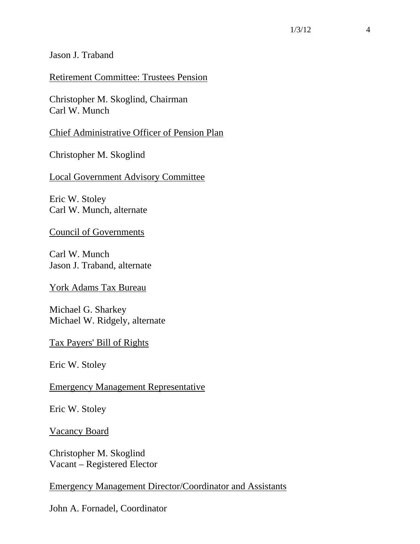Jason J. Traband

#### Retirement Committee: Trustees Pension

Christopher M. Skoglind, Chairman Carl W. Munch

Chief Administrative Officer of Pension Plan

Christopher M. Skoglind

Local Government Advisory Committee

Eric W. Stoley Carl W. Munch, alternate

Council of Governments

Carl W. Munch Jason J. Traband, alternate

York Adams Tax Bureau

Michael G. Sharkey Michael W. Ridgely, alternate

#### Tax Payers' Bill of Rights

Eric W. Stoley

Emergency Management Representative

Eric W. Stoley

Vacancy Board

Christopher M. Skoglind Vacant – Registered Elector

Emergency Management Director/Coordinator and Assistants

John A. Fornadel, Coordinator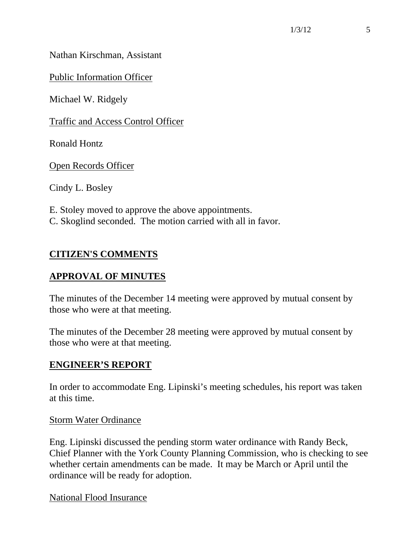Nathan Kirschman, Assistant

Public Information Officer

Michael W. Ridgely

Traffic and Access Control Officer

Ronald Hontz

Open Records Officer

Cindy L. Bosley

E. Stoley moved to approve the above appointments. C. Skoglind seconded. The motion carried with all in favor.

# **CITIZEN'S COMMENTS**

## **APPROVAL OF MINUTES**

The minutes of the December 14 meeting were approved by mutual consent by those who were at that meeting.

The minutes of the December 28 meeting were approved by mutual consent by those who were at that meeting.

#### **ENGINEER'S REPORT**

In order to accommodate Eng. Lipinski's meeting schedules, his report was taken at this time.

Storm Water Ordinance

Eng. Lipinski discussed the pending storm water ordinance with Randy Beck, Chief Planner with the York County Planning Commission, who is checking to see whether certain amendments can be made. It may be March or April until the ordinance will be ready for adoption.

National Flood Insurance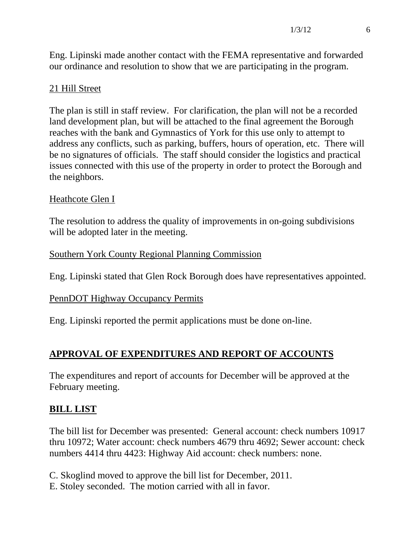Eng. Lipinski made another contact with the FEMA representative and forwarded our ordinance and resolution to show that we are participating in the program.

### 21 Hill Street

The plan is still in staff review. For clarification, the plan will not be a recorded land development plan, but will be attached to the final agreement the Borough reaches with the bank and Gymnastics of York for this use only to attempt to address any conflicts, such as parking, buffers, hours of operation, etc. There will be no signatures of officials. The staff should consider the logistics and practical issues connected with this use of the property in order to protect the Borough and the neighbors.

### Heathcote Glen I

The resolution to address the quality of improvements in on-going subdivisions will be adopted later in the meeting.

#### Southern York County Regional Planning Commission

Eng. Lipinski stated that Glen Rock Borough does have representatives appointed.

#### PennDOT Highway Occupancy Permits

Eng. Lipinski reported the permit applications must be done on-line.

# **APPROVAL OF EXPENDITURES AND REPORT OF ACCOUNTS**

The expenditures and report of accounts for December will be approved at the February meeting.

## **BILL LIST**

The bill list for December was presented: General account: check numbers 10917 thru 10972; Water account: check numbers 4679 thru 4692; Sewer account: check numbers 4414 thru 4423: Highway Aid account: check numbers: none.

C. Skoglind moved to approve the bill list for December, 2011.

E. Stoley seconded. The motion carried with all in favor.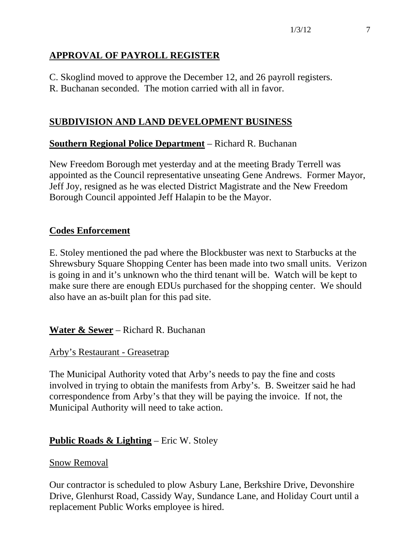# **APPROVAL OF PAYROLL REGISTER**

C. Skoglind moved to approve the December 12, and 26 payroll registers.

R. Buchanan seconded. The motion carried with all in favor.

## **SUBDIVISION AND LAND DEVELOPMENT BUSINESS**

## **Southern Regional Police Department** – Richard R. Buchanan

New Freedom Borough met yesterday and at the meeting Brady Terrell was appointed as the Council representative unseating Gene Andrews. Former Mayor, Jeff Joy, resigned as he was elected District Magistrate and the New Freedom Borough Council appointed Jeff Halapin to be the Mayor.

## **Codes Enforcement**

E. Stoley mentioned the pad where the Blockbuster was next to Starbucks at the Shrewsbury Square Shopping Center has been made into two small units. Verizon is going in and it's unknown who the third tenant will be. Watch will be kept to make sure there are enough EDUs purchased for the shopping center. We should also have an as-built plan for this pad site.

**Water & Sewer** – Richard R. Buchanan

Arby's Restaurant - Greasetrap

The Municipal Authority voted that Arby's needs to pay the fine and costs involved in trying to obtain the manifests from Arby's. B. Sweitzer said he had correspondence from Arby's that they will be paying the invoice. If not, the Municipal Authority will need to take action.

## **Public Roads & Lighting** – Eric W. Stoley

## Snow Removal

Our contractor is scheduled to plow Asbury Lane, Berkshire Drive, Devonshire Drive, Glenhurst Road, Cassidy Way, Sundance Lane, and Holiday Court until a replacement Public Works employee is hired.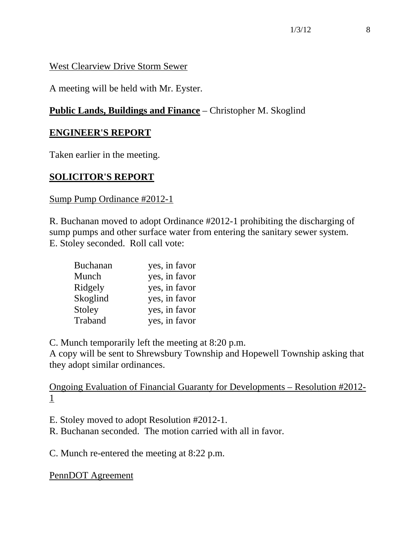#### West Clearview Drive Storm Sewer

A meeting will be held with Mr. Eyster.

# **Public Lands, Buildings and Finance** – Christopher M. Skoglind

### **ENGINEER'S REPORT**

Taken earlier in the meeting.

## **SOLICITOR'S REPORT**

#### Sump Pump Ordinance #2012-1

R. Buchanan moved to adopt Ordinance #2012-1 prohibiting the discharging of sump pumps and other surface water from entering the sanitary sewer system. E. Stoley seconded. Roll call vote:

| <b>Buchanan</b> | yes, in favor |
|-----------------|---------------|
| Munch           | yes, in favor |
| Ridgely         | yes, in favor |
| Skoglind        | yes, in favor |
| Stoley          | yes, in favor |
| Traband         | yes, in favor |

C. Munch temporarily left the meeting at 8:20 p.m.

A copy will be sent to Shrewsbury Township and Hopewell Township asking that they adopt similar ordinances.

Ongoing Evaluation of Financial Guaranty for Developments – Resolution #2012- 1

E. Stoley moved to adopt Resolution #2012-1.

R. Buchanan seconded. The motion carried with all in favor.

C. Munch re-entered the meeting at 8:22 p.m.

PennDOT Agreement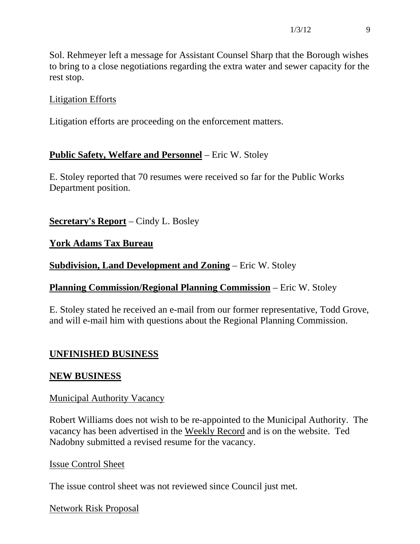Sol. Rehmeyer left a message for Assistant Counsel Sharp that the Borough wishes to bring to a close negotiations regarding the extra water and sewer capacity for the rest stop.

### Litigation Efforts

Litigation efforts are proceeding on the enforcement matters.

## **Public Safety, Welfare and Personnel** – Eric W. Stoley

E. Stoley reported that 70 resumes were received so far for the Public Works Department position.

### **Secretary's Report** – Cindy L. Bosley

### **York Adams Tax Bureau**

### **Subdivision, Land Development and Zoning** – Eric W. Stoley

#### **Planning Commission/Regional Planning Commission** – Eric W. Stoley

E. Stoley stated he received an e-mail from our former representative, Todd Grove, and will e-mail him with questions about the Regional Planning Commission.

## **UNFINISHED BUSINESS**

#### **NEW BUSINESS**

#### Municipal Authority Vacancy

Robert Williams does not wish to be re-appointed to the Municipal Authority. The vacancy has been advertised in the Weekly Record and is on the website. Ted Nadobny submitted a revised resume for the vacancy.

#### Issue Control Sheet

The issue control sheet was not reviewed since Council just met.

#### Network Risk Proposal